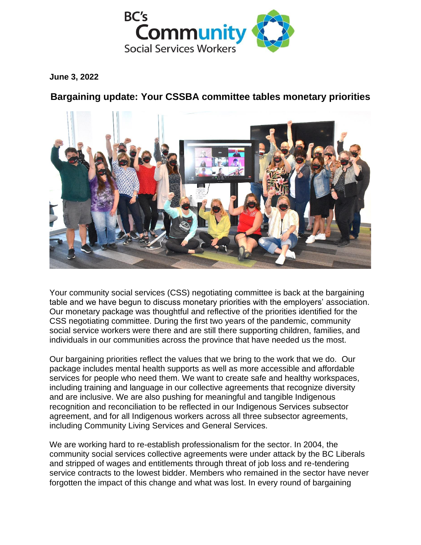

**June 3, 2022**

**Bargaining update: Your CSSBA committee tables monetary priorities**



Your community social services (CSS) negotiating committee is back at the bargaining table and we have begun to discuss monetary priorities with the employers' association. Our monetary package was thoughtful and reflective of the priorities identified for the CSS negotiating committee. During the first two years of the pandemic, community social service workers were there and are still there supporting children, families, and individuals in our communities across the province that have needed us the most.

Our bargaining priorities reflect the values that we bring to the work that we do. Our package includes mental health supports as well as more accessible and affordable services for people who need them. We want to create safe and healthy workspaces, including training and language in our collective agreements that recognize diversity and are inclusive. We are also pushing for meaningful and tangible Indigenous recognition and reconciliation to be reflected in our Indigenous Services subsector agreement, and for all Indigenous workers across all three subsector agreements, including Community Living Services and General Services.

We are working hard to re-establish professionalism for the sector. In 2004, the community social services collective agreements were under attack by the BC Liberals and stripped of wages and entitlements through threat of job loss and re-tendering service contracts to the lowest bidder. Members who remained in the sector have never forgotten the impact of this change and what was lost. In every round of bargaining